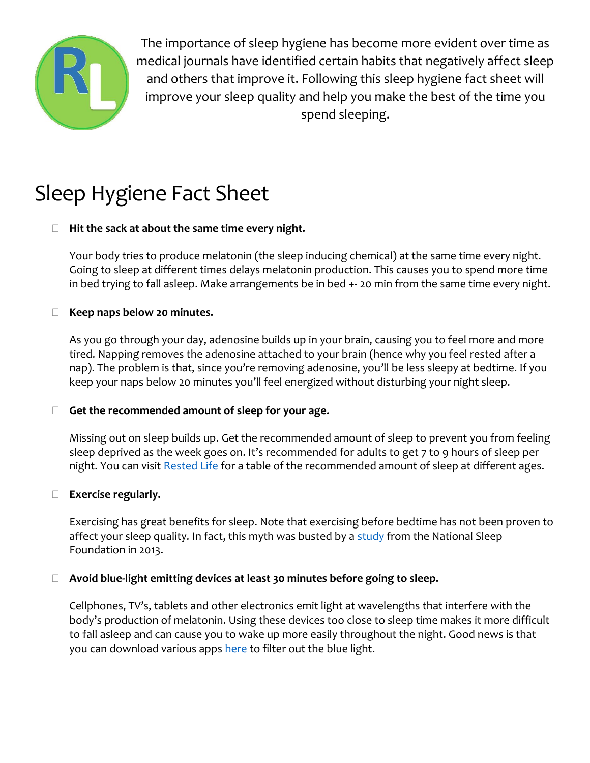

The importance of sleep hygiene has become more evident over time as medical journals have identified certain habits that negatively affect sleep and others that improve it. Following this sleep hygiene fact sheet will improve your sleep quality and help you make the best of the time you spend sleeping.

# Sleep Hygiene Fact Sheet

# **Hit the sack at about the same time every night.**

Your body tries to produce melatonin (the sleep inducing chemical) at the same time every night. Going to sleep at different times delays melatonin production. This causes you to spend more time in bed trying to fall asleep. Make arrangements be in bed +- 20 min from the same time every night.

# **Keep naps below 20 minutes.**

As you go through your day, adenosine builds up in your brain, causing you to feel more and more tired. Napping removes the adenosine attached to your brain (hence why you feel rested after a nap). The problem is that, since you're removing adenosine, you'll be less sleepy at bedtime. If you keep your naps below 20 minutes you'll feel energized without disturbing your night sleep.

# **Get the recommended amount of sleep for your age.**

Missing out on sleep builds up. Get the recommended amount of sleep to prevent you from feeling sleep deprived as the week goes on. It's recommended for adults to get 7 to 9 hours of sleep per night. You can visi[t Rested Life](https://restedlife.com/how-much-rem-sleep-do-you-need-to-feel-remarkable) for a table of the recommended amount of sleep at different ages.

# **Exercise regularly.**

Exercising has great benefits for sleep. Note that exercising before bedtime has not been proven to affect your sleep quality. In fact, this myth was busted by a  $\frac{\text{study}}{\text{from the National Sleep}}$ Foundation in 2013.

# **Avoid blue-light emitting devices at least 30 minutes before going to sleep.**

Cellphones, TV's, tablets and other electronics emit light at wavelengths that interfere with the body's production of melatonin. Using these devices too close to sleep time makes it more difficult to fall asleep and can cause you to wake up more easily throughout the night. Good news is that you can download various apps [here](https://restedlife.com/how-much-rem-sleep-do-you-need-to-feel-remarkable) to filter out the blue light.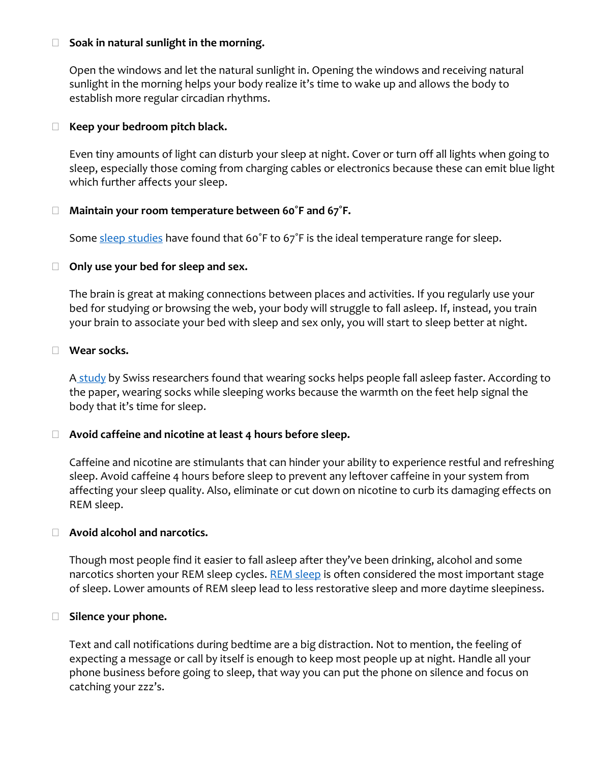### **Soak in natural sunlight in the morning.**

Open the windows and let the natural sunlight in. Opening the windows and receiving natural sunlight in the morning helps your body realize it's time to wake up and allows the body to establish more regular circadian rhythms.

### **Keep your bedroom pitch black.**

Even tiny amounts of light can disturb your sleep at night. Cover or turn off all lights when going to sleep, especially those coming from charging cables or electronics because these can emit blue light which further affects your sleep.

#### **Maintain your room temperature between 60˚F and 67˚F.**

Some [sleep studies](https://www.ncbi.nlm.nih.gov/pubmed/18603220?ordinalpos=1&itool=EntrezSystem2.PEntrez.Pubmed.Pubmed_ResultsPanel.Pubmed_DefaultReportPanel.Pubmed_RVDocSum) have found that 60°F to 67°F is the ideal temperature range for sleep.

#### **Only use your bed for sleep and sex.**

The brain is great at making connections between places and activities. If you regularly use your bed for studying or browsing the web, your body will struggle to fall asleep. If, instead, you train your brain to associate your bed with sleep and sex only, you will start to sleep better at night.

#### **Wear socks.**

A [study](http://www.nature.com/nature/journal/v401/n6748/full/401036a0.html?foxtrotcallback=true) by Swiss researchers found that wearing socks helps people fall asleep faster. According to the paper, wearing socks while sleeping works because the warmth on the feet help signal the body that it's time for sleep.

# **Avoid caffeine and nicotine at least 4 hours before sleep.**

Caffeine and nicotine are stimulants that can hinder your ability to experience restful and refreshing sleep. Avoid caffeine 4 hours before sleep to prevent any leftover caffeine in your system from affecting your sleep quality. Also, eliminate or cut down on nicotine to curb its damaging effects on REM sleep.

#### **Avoid alcohol and narcotics.**

Though most people find it easier to fall asleep after they've been drinking, alcohol and some narcotics shorten your [REM sleep](https://restedlife.com/how-much-rem-sleep-do-you-need-to-feel-remarkable) cycles. REM sleep is often considered the most important stage of sleep. Lower amounts of REM sleep lead to less restorative sleep and more daytime sleepiness.

#### **Silence your phone.**

Text and call notifications during bedtime are a big distraction. Not to mention, the feeling of expecting a message or call by itself is enough to keep most people up at night. Handle all your phone business before going to sleep, that way you can put the phone on silence and focus on catching your zzz's.